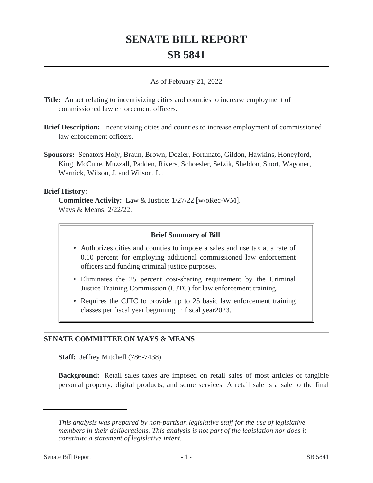# **SENATE BILL REPORT SB 5841**

#### As of February 21, 2022

- **Title:** An act relating to incentivizing cities and counties to increase employment of commissioned law enforcement officers.
- **Brief Description:** Incentivizing cities and counties to increase employment of commissioned law enforcement officers.
- **Sponsors:** Senators Holy, Braun, Brown, Dozier, Fortunato, Gildon, Hawkins, Honeyford, King, McCune, Muzzall, Padden, Rivers, Schoesler, Sefzik, Sheldon, Short, Wagoner, Warnick, Wilson, J. and Wilson, L..

### **Brief History:**

**Committee Activity:** Law & Justice: 1/27/22 [w/oRec-WM]. Ways & Means: 2/22/22.

### **Brief Summary of Bill**

- Authorizes cities and counties to impose a sales and use tax at a rate of 0.10 percent for employing additional commissioned law enforcement officers and funding criminal justice purposes.
- Eliminates the 25 percent cost-sharing requirement by the Criminal Justice Training Commission (CJTC) for law enforcement training.
- Requires the CJTC to provide up to 25 basic law enforcement training classes per fiscal year beginning in fiscal year2023.

### **SENATE COMMITTEE ON WAYS & MEANS**

**Staff:** Jeffrey Mitchell (786-7438)

**Background:** Retail sales taxes are imposed on retail sales of most articles of tangible personal property, digital products, and some services. A retail sale is a sale to the final

*This analysis was prepared by non-partisan legislative staff for the use of legislative members in their deliberations. This analysis is not part of the legislation nor does it constitute a statement of legislative intent.*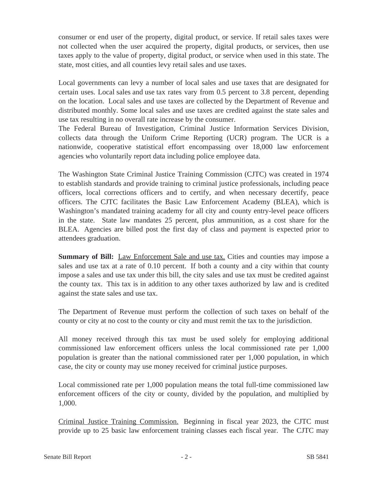consumer or end user of the property, digital product, or service. If retail sales taxes were not collected when the user acquired the property, digital products, or services, then use taxes apply to the value of property, digital product, or service when used in this state. The state, most cities, and all counties levy retail sales and use taxes.

Local governments can levy a number of local sales and use taxes that are designated for certain uses. Local sales and use tax rates vary from 0.5 percent to 3.8 percent, depending on the location. Local sales and use taxes are collected by the Department of Revenue and distributed monthly. Some local sales and use taxes are credited against the state sales and use tax resulting in no overall rate increase by the consumer.

The Federal Bureau of Investigation, Criminal Justice Information Services Division, collects data through the Uniform Crime Reporting (UCR) program. The UCR is a nationwide, cooperative statistical effort encompassing over 18,000 law enforcement agencies who voluntarily report data including police employee data.

The Washington State Criminal Justice Training Commission (CJTC) was created in 1974 to establish standards and provide training to criminal justice professionals, including peace officers, local corrections officers and to certify, and when necessary decertify, peace officers. The CJTC facilitates the Basic Law Enforcement Academy (BLEA), which is Washington's mandated training academy for all city and county entry-level peace officers in the state. State law mandates 25 percent, plus ammunition, as a cost share for the BLEA. Agencies are billed post the first day of class and payment is expected prior to attendees graduation.

**Summary of Bill:** Law Enforcement Sale and use tax. Cities and counties may impose a sales and use tax at a rate of 0.10 percent. If both a county and a city within that county impose a sales and use tax under this bill, the city sales and use tax must be credited against the county tax. This tax is in addition to any other taxes authorized by law and is credited against the state sales and use tax.

The Department of Revenue must perform the collection of such taxes on behalf of the county or city at no cost to the county or city and must remit the tax to the jurisdiction.

All money received through this tax must be used solely for employing additional commissioned law enforcement officers unless the local commissioned rate per 1,000 population is greater than the national commissioned rater per 1,000 population, in which case, the city or county may use money received for criminal justice purposes.

Local commissioned rate per 1,000 population means the total full-time commissioned law enforcement officers of the city or county, divided by the population, and multiplied by 1,000.

Criminal Justice Training Commission. Beginning in fiscal year 2023, the CJTC must provide up to 25 basic law enforcement training classes each fiscal year. The CJTC may